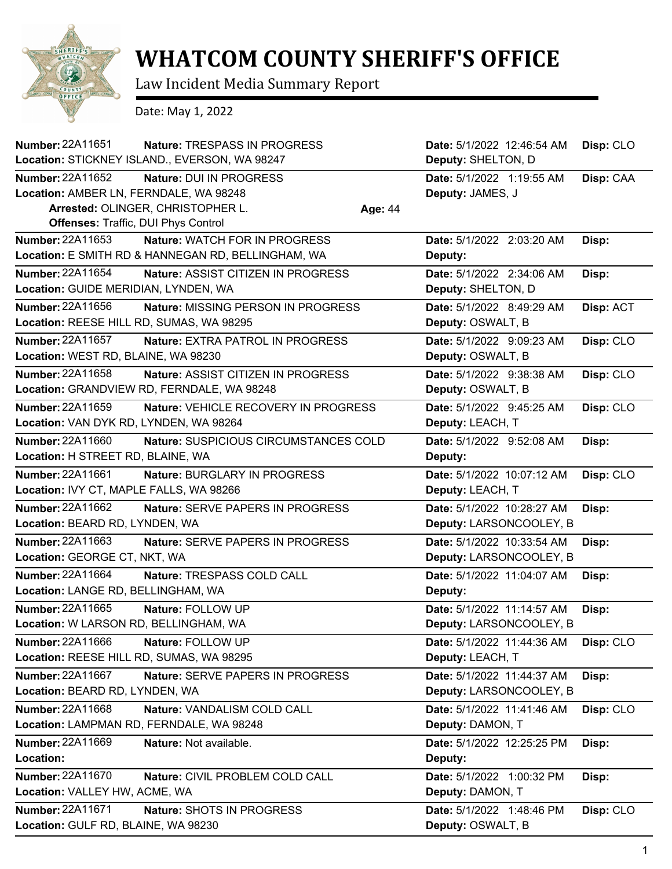

## **WHATCOM COUNTY SHERIFF'S OFFICE**

Law Incident Media Summary Report

Date: May 1, 2022

| <b>Number: 22A11651</b>                  | Nature: TRESPASS IN PROGRESS                       |         | Date: 5/1/2022 12:46:54 AM | Disp: CLO |
|------------------------------------------|----------------------------------------------------|---------|----------------------------|-----------|
|                                          | Location: STICKNEY ISLAND., EVERSON, WA 98247      |         | Deputy: SHELTON, D         |           |
| Number: 22A11652                         | Nature: DUI IN PROGRESS                            |         | Date: 5/1/2022 1:19:55 AM  | Disp: CAA |
| Location: AMBER LN, FERNDALE, WA 98248   |                                                    |         | Deputy: JAMES, J           |           |
|                                          | Arrested: OLINGER, CHRISTOPHER L.                  | Age: 44 |                            |           |
| Offenses: Traffic, DUI Phys Control      |                                                    |         |                            |           |
| Number: 22A11653                         | Nature: WATCH FOR IN PROGRESS                      |         | Date: 5/1/2022 2:03:20 AM  | Disp:     |
|                                          | Location: E SMITH RD & HANNEGAN RD, BELLINGHAM, WA |         | Deputy:                    |           |
| Number: 22A11654                         | Nature: ASSIST CITIZEN IN PROGRESS                 |         | Date: 5/1/2022 2:34:06 AM  | Disp:     |
| Location: GUIDE MERIDIAN, LYNDEN, WA     |                                                    |         | Deputy: SHELTON, D         |           |
| Number: 22A11656                         | Nature: MISSING PERSON IN PROGRESS                 |         | Date: 5/1/2022 8:49:29 AM  | Disp: ACT |
| Location: REESE HILL RD, SUMAS, WA 98295 |                                                    |         | Deputy: OSWALT, B          |           |
| Number: 22A11657                         | Nature: EXTRA PATROL IN PROGRESS                   |         | Date: 5/1/2022 9:09:23 AM  | Disp: CLO |
| Location: WEST RD, BLAINE, WA 98230      |                                                    |         | Deputy: OSWALT, B          |           |
| Number: 22A11658                         | Nature: ASSIST CITIZEN IN PROGRESS                 |         | Date: 5/1/2022 9:38:38 AM  | Disp: CLO |
|                                          | Location: GRANDVIEW RD, FERNDALE, WA 98248         |         | Deputy: OSWALT, B          |           |
| <b>Number: 22A11659</b>                  | Nature: VEHICLE RECOVERY IN PROGRESS               |         | Date: 5/1/2022 9:45:25 AM  | Disp: CLO |
| Location: VAN DYK RD, LYNDEN, WA 98264   |                                                    |         | Deputy: LEACH, T           |           |
| Number: 22A11660                         | Nature: SUSPICIOUS CIRCUMSTANCES COLD              |         | Date: 5/1/2022 9:52:08 AM  | Disp:     |
| Location: H STREET RD, BLAINE, WA        |                                                    |         | Deputy:                    |           |
| Number: 22A11661                         | Nature: BURGLARY IN PROGRESS                       |         | Date: 5/1/2022 10:07:12 AM | Disp: CLO |
| Location: IVY CT, MAPLE FALLS, WA 98266  |                                                    |         | Deputy: LEACH, T           |           |
| Number: 22A11662                         | <b>Nature: SERVE PAPERS IN PROGRESS</b>            |         | Date: 5/1/2022 10:28:27 AM | Disp:     |
| Location: BEARD RD, LYNDEN, WA           |                                                    |         | Deputy: LARSONCOOLEY, B    |           |
| Number: 22A11663                         | Nature: SERVE PAPERS IN PROGRESS                   |         | Date: 5/1/2022 10:33:54 AM | Disp:     |
| Location: GEORGE CT, NKT, WA             |                                                    |         | Deputy: LARSONCOOLEY, B    |           |
| Number: 22A11664                         | Nature: TRESPASS COLD CALL                         |         | Date: 5/1/2022 11:04:07 AM | Disp:     |
| Location: LANGE RD, BELLINGHAM, WA       |                                                    |         | Deputy:                    |           |
| Number: 22A11665                         | Nature: FOLLOW UP                                  |         | Date: 5/1/2022 11:14:57 AM | Disp:     |
| Location: W LARSON RD, BELLINGHAM, WA    |                                                    |         | Deputy: LARSONCOOLEY, B    |           |
| Number: 22A11666                         | Nature: FOLLOW UP                                  |         | Date: 5/1/2022 11:44:36 AM | Disp: CLO |
| Location: REESE HILL RD, SUMAS, WA 98295 |                                                    |         | Deputy: LEACH, T           |           |
| <b>Number: 22A11667</b>                  | Nature: SERVE PAPERS IN PROGRESS                   |         | Date: 5/1/2022 11:44:37 AM | Disp:     |
| Location: BEARD RD, LYNDEN, WA           |                                                    |         | Deputy: LARSONCOOLEY, B    |           |
| Number: 22A11668                         | Nature: VANDALISM COLD CALL                        |         | Date: 5/1/2022 11:41:46 AM | Disp: CLO |
| Location: LAMPMAN RD, FERNDALE, WA 98248 |                                                    |         | Deputy: DAMON, T           |           |
| Number: 22A11669                         | Nature: Not available.                             |         | Date: 5/1/2022 12:25:25 PM | Disp:     |
| Location:                                |                                                    |         | Deputy:                    |           |
| Number: 22A11670                         | Nature: CIVIL PROBLEM COLD CALL                    |         | Date: 5/1/2022 1:00:32 PM  | Disp:     |
| Location: VALLEY HW, ACME, WA            |                                                    |         | Deputy: DAMON, T           |           |
| Number: 22A11671                         | Nature: SHOTS IN PROGRESS                          |         | Date: 5/1/2022 1:48:46 PM  | Disp: CLO |
| Location: GULF RD, BLAINE, WA 98230      |                                                    |         | Deputy: OSWALT, B          |           |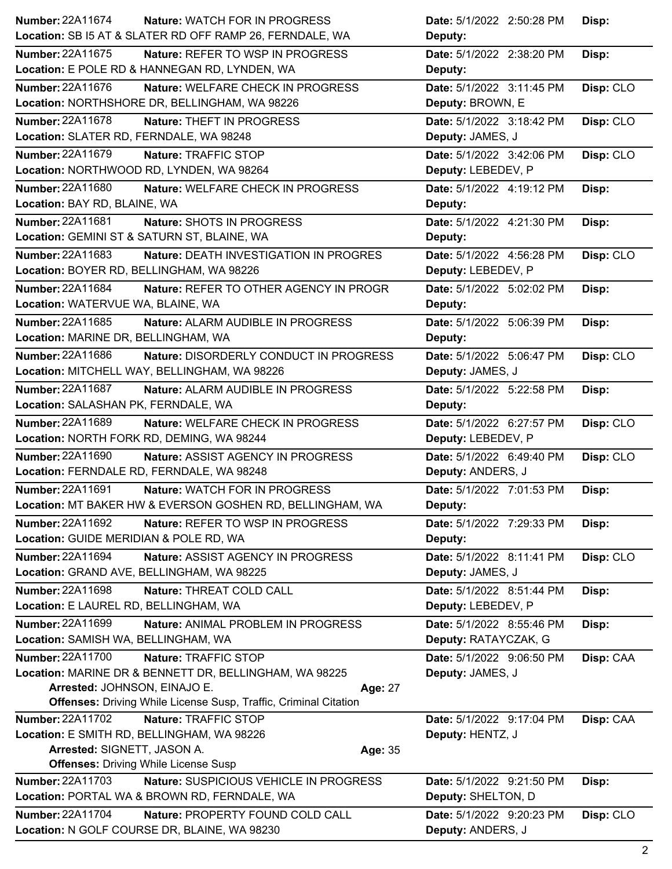| Number: 22A11674<br><b>Nature: WATCH FOR IN PROGRESS</b>                                                            | Date: 5/1/2022 2:50:28 PM                     | Disp:     |
|---------------------------------------------------------------------------------------------------------------------|-----------------------------------------------|-----------|
| Location: SB I5 AT & SLATER RD OFF RAMP 26, FERNDALE, WA                                                            | Deputy:                                       |           |
| <b>Number: 22A11675</b><br><b>Nature: REFER TO WSP IN PROGRESS</b><br>Location: E POLE RD & HANNEGAN RD, LYNDEN, WA | Date: 5/1/2022 2:38:20 PM<br>Deputy:          | Disp:     |
| Number: 22A11676<br>Nature: WELFARE CHECK IN PROGRESS                                                               | Date: 5/1/2022 3:11:45 PM                     | Disp: CLO |
| Location: NORTHSHORE DR, BELLINGHAM, WA 98226                                                                       | Deputy: BROWN, E                              |           |
| <b>Number: 22A11678</b><br><b>Nature: THEFT IN PROGRESS</b>                                                         | Date: 5/1/2022 3:18:42 PM                     | Disp: CLO |
| Location: SLATER RD, FERNDALE, WA 98248                                                                             | Deputy: JAMES, J                              |           |
| <b>Number: 22A11679</b><br>Nature: TRAFFIC STOP                                                                     | Date: 5/1/2022 3:42:06 PM                     | Disp: CLO |
| Location: NORTHWOOD RD, LYNDEN, WA 98264                                                                            | Deputy: LEBEDEV, P                            |           |
| Number: 22A11680<br>Nature: WELFARE CHECK IN PROGRESS                                                               | Date: 5/1/2022 4:19:12 PM                     | Disp:     |
| Location: BAY RD, BLAINE, WA                                                                                        | Deputy:                                       |           |
| Number: 22A11681<br>Nature: SHOTS IN PROGRESS                                                                       | Date: 5/1/2022 4:21:30 PM                     | Disp:     |
| Location: GEMINI ST & SATURN ST, BLAINE, WA                                                                         | Deputy:                                       |           |
| Number: 22A11683<br>Nature: DEATH INVESTIGATION IN PROGRES                                                          | Date: 5/1/2022 4:56:28 PM                     | Disp: CLO |
| Location: BOYER RD, BELLINGHAM, WA 98226                                                                            | Deputy: LEBEDEV, P                            |           |
| <b>Number: 22A11684</b><br>Nature: REFER TO OTHER AGENCY IN PROGR                                                   | Date: 5/1/2022 5:02:02 PM                     | Disp:     |
| Location: WATERVUE WA, BLAINE, WA                                                                                   | Deputy:                                       |           |
|                                                                                                                     |                                               |           |
| Number: 22A11685<br>Nature: ALARM AUDIBLE IN PROGRESS                                                               | Date: 5/1/2022 5:06:39 PM                     | Disp:     |
| Location: MARINE DR, BELLINGHAM, WA                                                                                 | Deputy:                                       |           |
| Number: 22A11686<br>Nature: DISORDERLY CONDUCT IN PROGRESS                                                          | Date: 5/1/2022 5:06:47 PM                     | Disp: CLO |
| Location: MITCHELL WAY, BELLINGHAM, WA 98226                                                                        | Deputy: JAMES, J                              |           |
| Number: 22A11687<br>Nature: ALARM AUDIBLE IN PROGRESS                                                               | Date: 5/1/2022 5:22:58 PM                     | Disp:     |
| Location: SALASHAN PK, FERNDALE, WA                                                                                 | Deputy:                                       |           |
| <b>Number: 22A11689</b><br>Nature: WELFARE CHECK IN PROGRESS                                                        | Date: 5/1/2022 6:27:57 PM                     | Disp: CLO |
| Location: NORTH FORK RD, DEMING, WA 98244                                                                           | Deputy: LEBEDEV, P                            |           |
| Number: 22A11690<br>Nature: ASSIST AGENCY IN PROGRESS                                                               | Date: 5/1/2022 6:49:40 PM                     | Disp: CLO |
| Location: FERNDALE RD, FERNDALE, WA 98248                                                                           | Deputy: ANDERS, J                             |           |
| Number: 22A11691<br>Nature: WATCH FOR IN PROGRESS                                                                   | Date: 5/1/2022 7:01:53 PM                     | Disp:     |
| Location: MT BAKER HW & EVERSON GOSHEN RD, BELLINGHAM, WA                                                           | Deputy:                                       |           |
| Number: 22A11692<br>Nature: REFER TO WSP IN PROGRESS                                                                | <b>Date:</b> 5/1/2022 7:29:33 PM              | Disp:     |
| Location: GUIDE MERIDIAN & POLE RD, WA                                                                              | Deputy:                                       |           |
| <b>Number: 22A11694</b><br>Nature: ASSIST AGENCY IN PROGRESS                                                        | Date: 5/1/2022 8:11:41 PM                     | Disp: CLO |
| Location: GRAND AVE, BELLINGHAM, WA 98225                                                                           | Deputy: JAMES, J                              |           |
| Number: 22A11698<br>Nature: THREAT COLD CALL                                                                        | Date: 5/1/2022 8:51:44 PM                     | Disp:     |
| Location: E LAUREL RD, BELLINGHAM, WA                                                                               | Deputy: LEBEDEV, P                            |           |
| Number: 22A11699<br>Nature: ANIMAL PROBLEM IN PROGRESS                                                              | Date: 5/1/2022 8:55:46 PM                     | Disp:     |
| Location: SAMISH WA, BELLINGHAM, WA                                                                                 | Deputy: RATAYCZAK, G                          |           |
| <b>Number: 22A11700</b><br>Nature: TRAFFIC STOP                                                                     |                                               |           |
|                                                                                                                     | Date: 5/1/2022 9:06:50 PM<br>Deputy: JAMES, J | Disp: CAA |
| Location: MARINE DR & BENNETT DR, BELLINGHAM, WA 98225<br>Arrested: JOHNSON, EINAJO E.<br>Age: 27                   |                                               |           |
| <b>Offenses:</b> Driving While License Susp, Traffic, Criminal Citation                                             |                                               |           |
| <b>Number: 22A11702</b><br>Nature: TRAFFIC STOP                                                                     | Date: 5/1/2022 9:17:04 PM                     | Disp: CAA |
| Location: E SMITH RD, BELLINGHAM, WA 98226                                                                          | Deputy: HENTZ, J                              |           |
| Arrested: SIGNETT, JASON A.<br>Age: 35                                                                              |                                               |           |
| <b>Offenses: Driving While License Susp</b>                                                                         |                                               |           |
| <b>Number: 22A11703</b><br>Nature: SUSPICIOUS VEHICLE IN PROGRESS                                                   | Date: 5/1/2022 9:21:50 PM                     | Disp:     |
| Location: PORTAL WA & BROWN RD, FERNDALE, WA                                                                        | Deputy: SHELTON, D                            |           |
| <b>Number: 22A11704</b><br>Nature: PROPERTY FOUND COLD CALL                                                         | Date: 5/1/2022 9:20:23 PM                     | Disp: CLO |
| Location: N GOLF COURSE DR, BLAINE, WA 98230                                                                        | Deputy: ANDERS, J                             |           |
|                                                                                                                     |                                               |           |